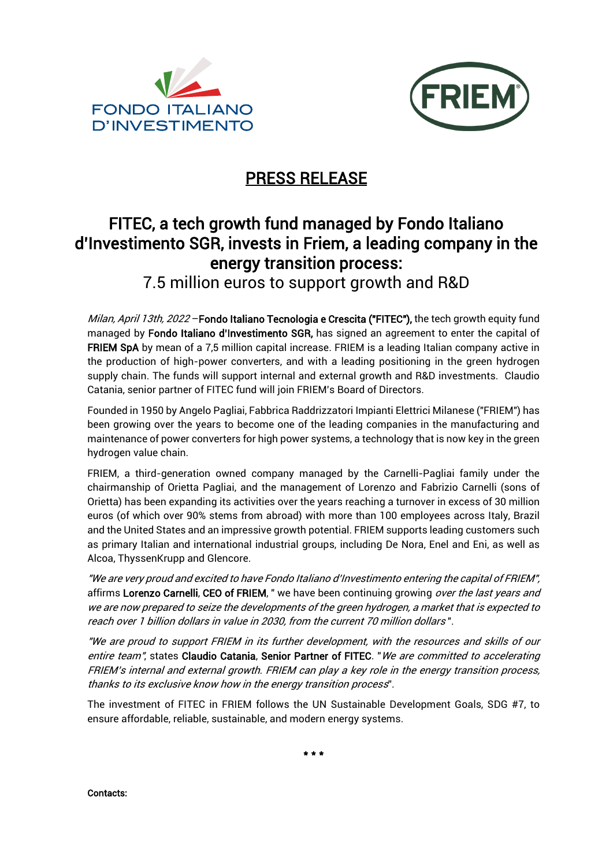



## PRESS RELEASE

## FITEC, a tech growth fund managed by Fondo Italiano d'Investimento SGR, invests in Friem, a leading company in the energy transition process:

7.5 million euros to support growth and R&D

Milan, April 13th, 2022 - Fondo Italiano Tecnologia e Crescita ("FITEC"), the tech growth equity fund managed by Fondo Italiano d'Investimento SGR, has signed an agreement to enter the capital of FRIEM SpA by mean of a 7,5 million capital increase. FRIEM is a leading Italian company active in the production of high-power converters, and with a leading positioning in the green hydrogen supply chain. The funds will support internal and external growth and R&D investments. Claudio Catania, senior partner of FITEC fund will join FRIEM's Board of Directors.

Founded in 1950 by Angelo Pagliai, Fabbrica Raddrizzatori Impianti Elettrici Milanese ("FRIEM") has been growing over the years to become one of the leading companies in the manufacturing and maintenance of power converters for high power systems, a technology that is now key in the green hydrogen value chain.

FRIEM, a third-generation owned company managed by the Carnelli-Pagliai family under the chairmanship of Orietta Pagliai, and the management of Lorenzo and Fabrizio Carnelli (sons of Orietta) has been expanding its activities over the years reaching a turnover in excess of 30 million euros (of which over 90% stems from abroad) with more than 100 employees across Italy, Brazil and the United States and an impressive growth potential. FRIEM supports leading customers such as primary Italian and international industrial groups, including De Nora, Enel and Eni, as well as Alcoa, ThyssenKrupp and Glencore.

"We are very proud and excited to have Fondo Italiano d'Investimento entering the capital of FRIEM", affirms Lorenzo Carnelli, CEO of FRIEM, " we have been continuing growing over the last years and we are now prepared to seize the developments of the green hydrogen, a market that is expected to reach over 1 billion dollars in value in 2030, from the current 70 million dollars ".

"We are proud to support FRIEM in its further development, with the resources and skills of our entire team", states Claudio Catania, Senior Partner of FITEC. "We are committed to accelerating FRIEM's internal and external growth. FRIEM can play a key role in the energy transition process, thanks to its exclusive know how in the energy transition process".

The investment of FITEC in FRIEM follows the UN Sustainable Development Goals, SDG #7, to ensure affordable, reliable, sustainable, and modern energy systems.

\* \* \*

Contacts: